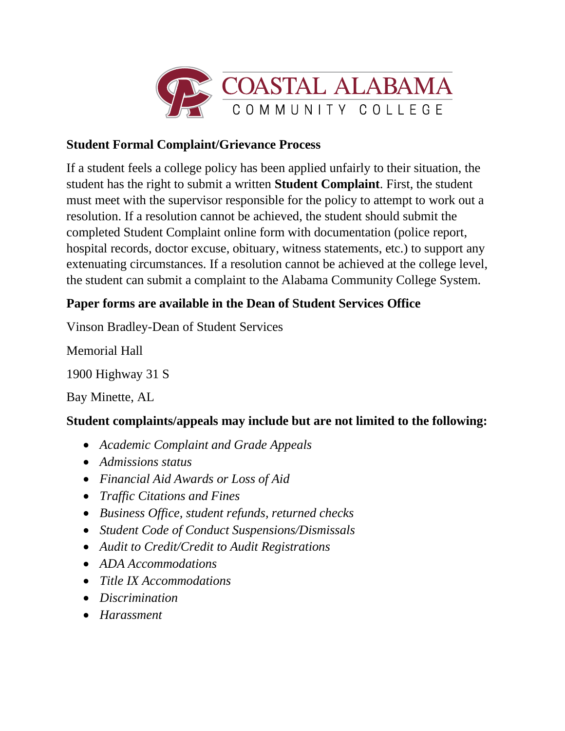

## **Student Formal Complaint/Grievance Process**

If a student feels a college policy has been applied unfairly to their situation, the student has the right to submit a written **Student Complaint**. First, the student must meet with the supervisor responsible for the policy to attempt to work out a resolution. If a resolution cannot be achieved, the student should submit the completed Student Complaint online form with documentation (police report, hospital records, doctor excuse, obituary, witness statements, etc.) to support any extenuating circumstances. If a resolution cannot be achieved at the college level, the student can submit a complaint to the Alabama Community College System.

# **Paper forms are available in the Dean of Student Services Office**

Vinson Bradley-Dean of Student Services

Memorial Hall

1900 Highway 31 S

Bay Minette, AL

# **Student complaints/appeals may include but are not limited to the following:**

- *Academic Complaint and Grade Appeals*
- *Admissions status*
- *Financial Aid Awards or Loss of Aid*
- *Traffic Citations and Fines*
- *Business Office, student refunds, returned checks*
- *Student Code of Conduct Suspensions/Dismissals*
- *Audit to Credit/Credit to Audit Registrations*
- *ADA Accommodations*
- *Title IX Accommodations*
- *Discrimination*
- *Harassment*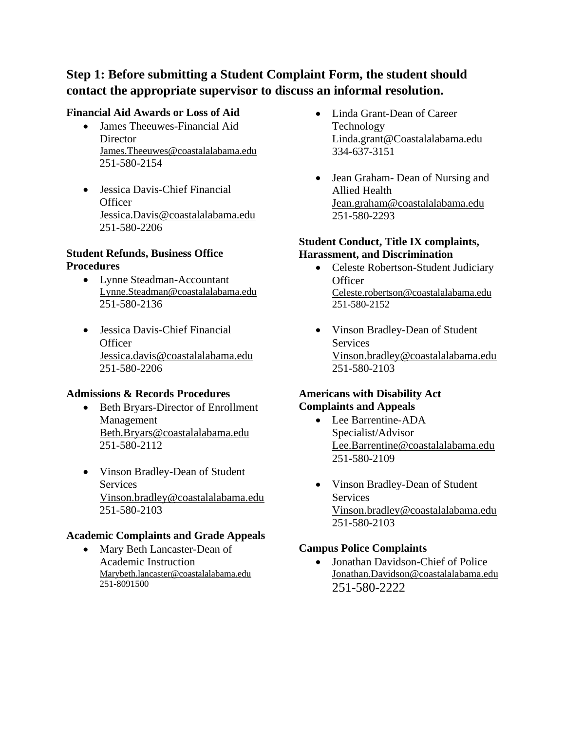## **Step 1: Before submitting a Student Complaint Form, the student should contact the appropriate supervisor to discuss an informal resolution.**

## **Financial Aid Awards or Loss of Aid**

- James Theeuwes-Financial Aid **Director** [James.Theeuwes@coastalalabama.edu](mailto:James.Theeuwes@coastalalabama.edu) 251-580-2154
- Jessica Davis-Chief Financial **Officer** [Jessica.Davis@coastalalabama.edu](mailto:Jessica.Davis@coastalalabama.edu) 251-580-2206

#### **Student Refunds, Business Office Procedures**

- Lynne Steadman-Accountant [Lynne.Steadman@coastalalabama.edu](mailto:Lynne.Steadman@coastalalabama.edu) 251-580-2136
- Jessica Davis-Chief Financial **Officer** [Jessica.davis@coastalalabama.edu](mailto:Jessica.davis@coastalalabama.edu) 251-580-2206

#### **Admissions & Records Procedures**

- Beth Bryars-Director of Enrollment Management [Beth.Bryars@coastalalabama.edu](mailto:Beth.Bryars@coastalalabama.edu) 251-580-2112
- Vinson Bradley-Dean of Student **Services** [Vinson.bradley@coastalalabama.edu](mailto:Vinson.bradley@coastalalabama.edu) 251-580-2103

#### **Academic Complaints and Grade Appeals**

• Mary Beth Lancaster-Dean of Academic Instruction [Marybeth.lancaster@coastalalabama.edu](mailto:Marybeth.lancaster@coastalalabama.edu) 251-8091500

- Linda Grant-Dean of Career Technology [Linda.grant@Coastalalabama.edu](mailto:Linda.grant@Coastalalabama.edu) 334-637-3151
- Jean Graham- Dean of Nursing and Allied Health [Jean.graham@coastalalabama.edu](mailto:Jean.graham@coastalalabama.edu) 251-580-2293

### **Student Conduct, Title IX complaints, Harassment, and Discrimination**

- Celeste Robertson-Student Judiciary **Officer** [Celeste.robertson@coastalalabama.edu](mailto:Celeste.robertson@coastalalabama.edu) 251-580-2152
- Vinson Bradley-Dean of Student **Services** [Vinson.bradley@coastalalabama.edu](mailto:Vinson.bradley@coastalalabama.edu) 251-580-2103

### **Americans with Disability Act Complaints and Appeals**

- Lee Barrentine-ADA Specialist/Advisor [Lee.Barrentine@coastalalabama.edu](mailto:Lee.Barrentine@coastalalabama.edu) 251-580-2109
- Vinson Bradley-Dean of Student Services [Vinson.bradley@coastalalabama.edu](mailto:Vinson.bradley@coastalalabama.edu) 251-580-2103

#### **Campus Police Complaints**

• Jonathan Davidson-Chief of Police [Jonathan.Davidson@coastalalabama.edu](mailto:Jonathan.Davidson@coastalalabama.edu) 251-580-2222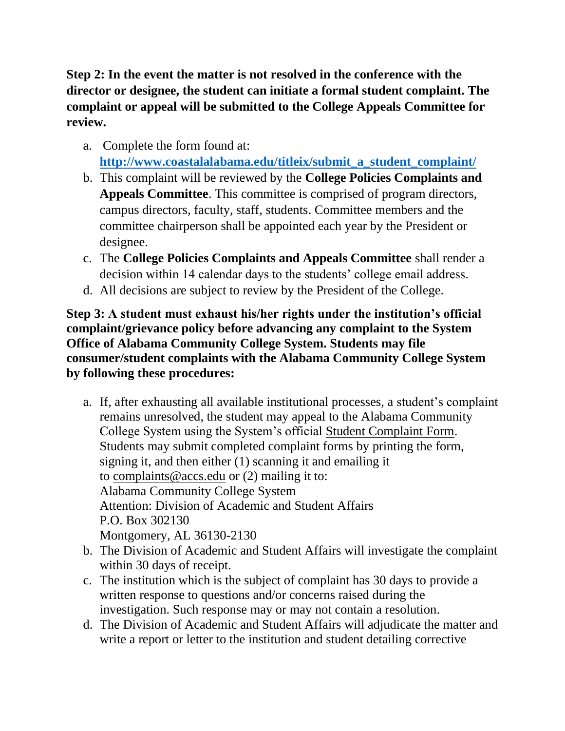**Step 2: In the event the matter is not resolved in the conference with the director or designee, the student can initiate a formal student complaint. The complaint or appeal will be submitted to the College Appeals Committee for review.**

- a. Complete the form found at: **[http://www.coastalalabama.edu/titleix/submit\\_a\\_student\\_complaint/](http://www.coastalalabama.edu/titleix/submit_a_student_complaint/)**
- b. This complaint will be reviewed by the **College Policies Complaints and Appeals Committee**. This committee is comprised of program directors, campus directors, faculty, staff, students. Committee members and the committee chairperson shall be appointed each year by the President or designee.
- c. The **College Policies Complaints and Appeals Committee** shall render a decision within 14 calendar days to the students' college email address.
- d. All decisions are subject to review by the President of the College.

**Step 3: A student must exhaust his/her rights under the institution's official complaint/grievance policy before advancing any complaint to the System Office of Alabama Community College System. Students may file consumer/student complaints with the Alabama Community College System by following these procedures:**

- a. If, after exhausting all available institutional processes, a student's complaint remains unresolved, the student may appeal to the Alabama Community College System using the System's official [Student Complaint Form.](https://www.accs.edu/wp-content/uploads/2019/03/Student-Complaint-Form-FINAL.pdf) Students may submit completed complaint forms by printing the form, signing it, and then either (1) scanning it and emailing it to [complaints@accs.edu](mailto:complaints@accs.edu) or (2) mailing it to: Alabama Community College System Attention: Division of Academic and Student Affairs P.O. Box 302130 Montgomery, AL 36130-2130
- b. The Division of Academic and Student Affairs will investigate the complaint within 30 days of receipt.
- c. The institution which is the subject of complaint has 30 days to provide a written response to questions and/or concerns raised during the investigation. Such response may or may not contain a resolution.
- d. The Division of Academic and Student Affairs will adjudicate the matter and write a report or letter to the institution and student detailing corrective